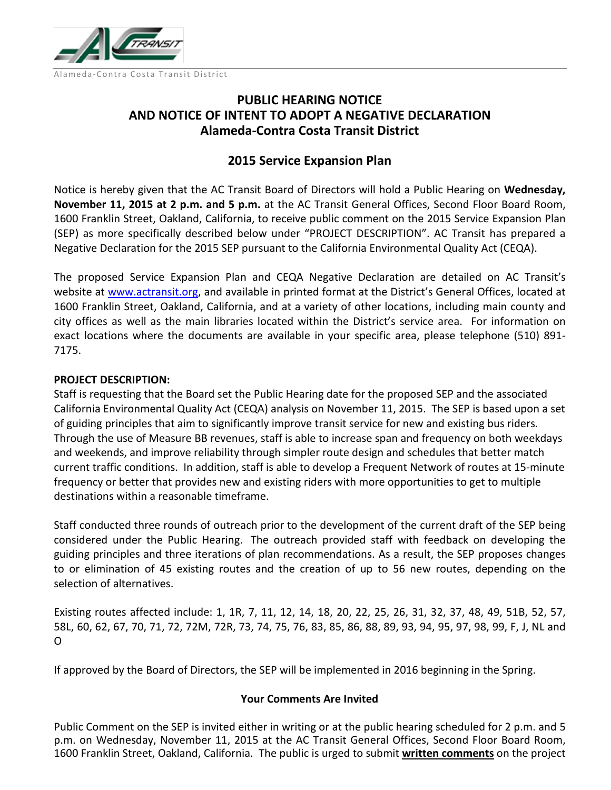

# **PUBLIC HEARING NOTICE AND NOTICE OF INTENT TO ADOPT A NEGATIVE DECLARATION Alameda-Contra Costa Transit District**

## **2015 Service Expansion Plan**

Notice is hereby given that the AC Transit Board of Directors will hold a Public Hearing on **Wednesday, November 11, 2015 at 2 p.m. and 5 p.m.** at the AC Transit General Offices, Second Floor Board Room, 1600 Franklin Street, Oakland, California, to receive public comment on the 2015 Service Expansion Plan (SEP) as more specifically described below under "PROJECT DESCRIPTION". AC Transit has prepared a Negative Declaration for the 2015 SEP pursuant to the California Environmental Quality Act (CEQA).

The proposed Service Expansion Plan and CEQA Negative Declaration are detailed on AC Transit's website at [www.actransit.org,](http://www.actransit.org/) and available in printed format at the District's General Offices, located at 1600 Franklin Street, Oakland, California, and at a variety of other locations, including main county and city offices as well as the main libraries located within the District's service area. For information on exact locations where the documents are available in your specific area, please telephone (510) 891- 7175.

### **PROJECT DESCRIPTION:**

Staff is requesting that the Board set the Public Hearing date for the proposed SEP and the associated California Environmental Quality Act (CEQA) analysis on November 11, 2015. The SEP is based upon a set of guiding principles that aim to significantly improve transit service for new and existing bus riders. Through the use of Measure BB revenues, staff is able to increase span and frequency on both weekdays and weekends, and improve reliability through simpler route design and schedules that better match current traffic conditions. In addition, staff is able to develop a Frequent Network of routes at 15-minute frequency or better that provides new and existing riders with more opportunities to get to multiple destinations within a reasonable timeframe.

Staff conducted three rounds of outreach prior to the development of the current draft of the SEP being considered under the Public Hearing. The outreach provided staff with feedback on developing the guiding principles and three iterations of plan recommendations. As a result, the SEP proposes changes to or elimination of 45 existing routes and the creation of up to 56 new routes, depending on the selection of alternatives.

Existing routes affected include: 1, 1R, 7, 11, 12, 14, 18, 20, 22, 25, 26, 31, 32, 37, 48, 49, 51B, 52, 57, 58L, 60, 62, 67, 70, 71, 72, 72M, 72R, 73, 74, 75, 76, 83, 85, 86, 88, 89, 93, 94, 95, 97, 98, 99, F, J, NL and O

If approved by the Board of Directors, the SEP will be implemented in 2016 beginning in the Spring.

### **Your Comments Are Invited**

Public Comment on the SEP is invited either in writing or at the public hearing scheduled for 2 p.m. and 5 p.m. on Wednesday, November 11, 2015 at the AC Transit General Offices, Second Floor Board Room, 1600 Franklin Street, Oakland, California. The public is urged to submit **written comments** on the project